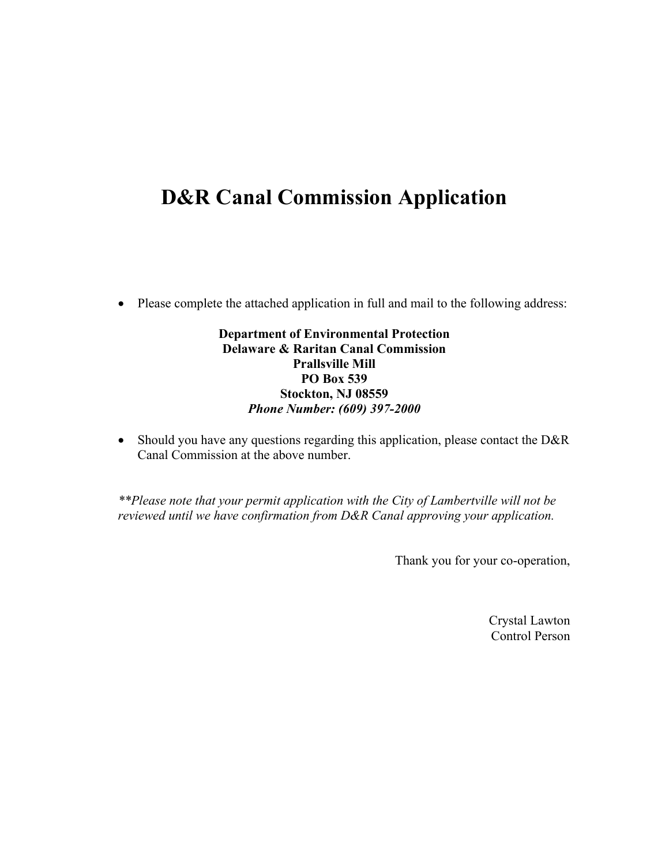## **D&R Canal Commission Application**

• Please complete the attached application in full and mail to the following address:

## **Department of Environmental Protection Delaware & Raritan Canal Commission Prallsville Mill PO Box 539 Stockton, NJ 08559**  *Phone Number: (609) 397-2000*

• Should you have any questions regarding this application, please contact the D&R Canal Commission at the above number.

*\*\*Please note that your permit application with the City of Lambertville will not be reviewed until we have confirmation from D&R Canal approving your application.* 

Thank you for your co-operation,

Crystal Lawton Control Person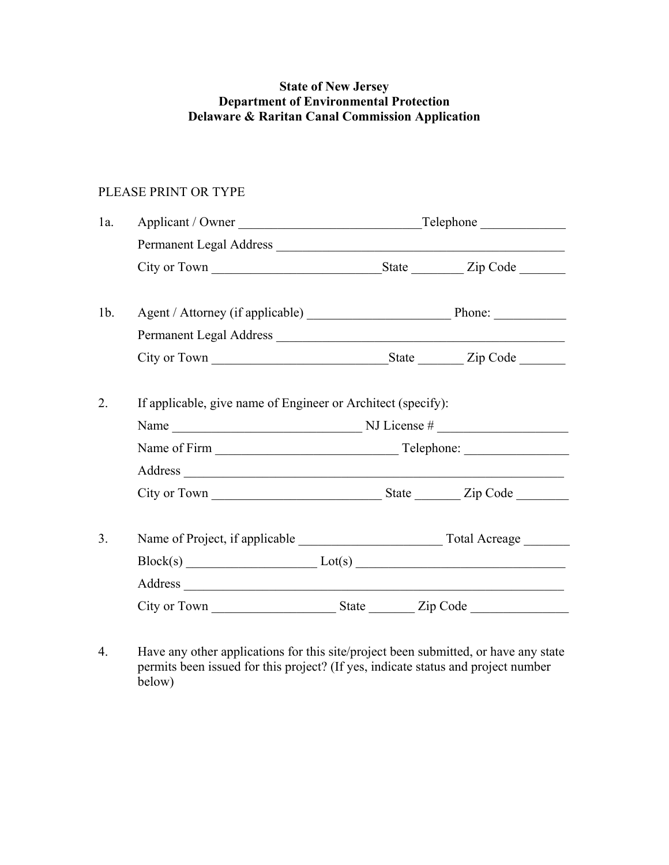## **State of New Jersey Department of Environmental Protection Delaware & Raritan Canal Commission Application**

## PLEASE PRINT OR TYPE

| 1a.    |                                                                                       |  |  |  |
|--------|---------------------------------------------------------------------------------------|--|--|--|
|        | Permanent Legal Address                                                               |  |  |  |
|        |                                                                                       |  |  |  |
|        |                                                                                       |  |  |  |
| $1b$ . |                                                                                       |  |  |  |
|        | Permanent Legal Address                                                               |  |  |  |
|        |                                                                                       |  |  |  |
|        |                                                                                       |  |  |  |
| 2.     | If applicable, give name of Engineer or Architect (specify):                          |  |  |  |
|        | Name $\_\_\_\_\_\_\_\_\_\_\_\_\_\_$ NJ License # $\_\_\_\_\_\_\_\_\_\_\_\_\_\_\_\_\_$ |  |  |  |
|        |                                                                                       |  |  |  |
|        |                                                                                       |  |  |  |
|        |                                                                                       |  |  |  |
| 3.     |                                                                                       |  |  |  |
|        | $Block(s)$ $Lot(s)$                                                                   |  |  |  |
|        |                                                                                       |  |  |  |
|        |                                                                                       |  |  |  |

4. Have any other applications for this site/project been submitted, or have any state permits been issued for this project? (If yes, indicate status and project number below)